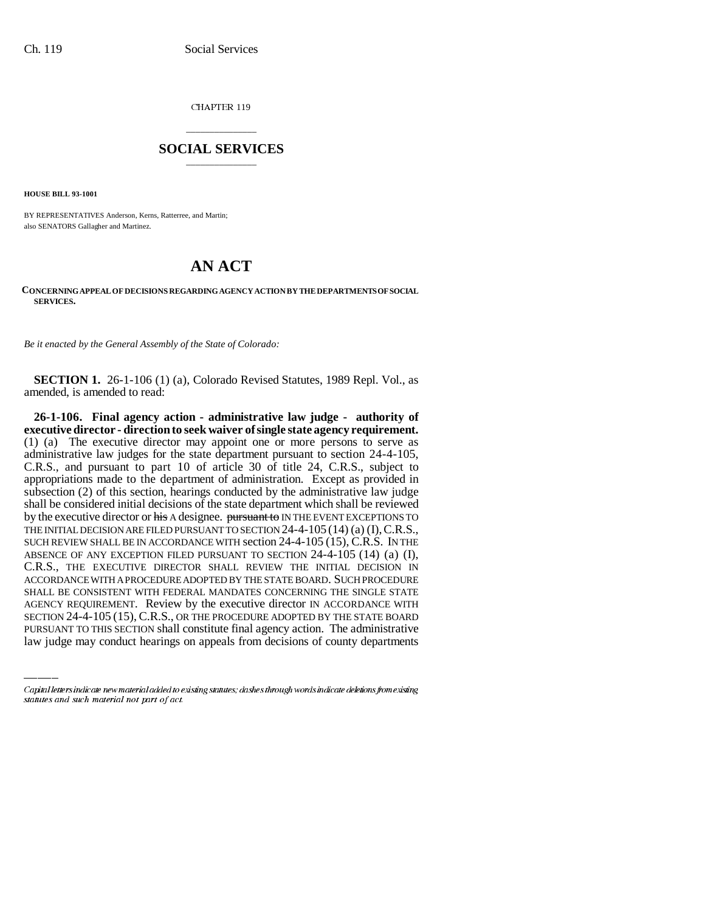CHAPTER 119

## \_\_\_\_\_\_\_\_\_\_\_\_\_\_\_ **SOCIAL SERVICES** \_\_\_\_\_\_\_\_\_\_\_\_\_\_\_

**HOUSE BILL 93-1001**

BY REPRESENTATIVES Anderson, Kerns, Ratterree, and Martin; also SENATORS Gallagher and Martinez.

# **AN ACT**

### **CONCERNING APPEAL OF DECISIONS REGARDING AGENCY ACTION BY THE DEPARTMENTS OF SOCIAL SERVICES.**

*Be it enacted by the General Assembly of the State of Colorado:* 

**SECTION 1.** 26-1-106 (1) (a), Colorado Revised Statutes, 1989 Repl. Vol., as amended, is amended to read:

SHALL BE CONSISTENT WITH FEDERAL MANDATES CONCERNING THE SINGLE STATE **26-1-106. Final agency action - administrative law judge - authority of executive director - direction to seek waiver of single state agency requirement.** (1) (a) The executive director may appoint one or more persons to serve as administrative law judges for the state department pursuant to section 24-4-105, C.R.S., and pursuant to part 10 of article 30 of title 24, C.R.S., subject to appropriations made to the department of administration. Except as provided in subsection (2) of this section, hearings conducted by the administrative law judge shall be considered initial decisions of the state department which shall be reviewed by the executive director or his A designee. pursuant to IN THE EVENT EXCEPTIONS TO THE INITIAL DECISION ARE FILED PURSUANT TO SECTION  $24-4-105$  (14) (a) (I), C.R.S., SUCH REVIEW SHALL BE IN ACCORDANCE WITH section 24-4-105 (15), C.R.S. IN THE ABSENCE OF ANY EXCEPTION FILED PURSUANT TO SECTION 24-4-105 (14) (a) (I), C.R.S., THE EXECUTIVE DIRECTOR SHALL REVIEW THE INITIAL DECISION IN ACCORDANCE WITH A PROCEDURE ADOPTED BY THE STATE BOARD. SUCH PROCEDURE AGENCY REQUIREMENT. Review by the executive director IN ACCORDANCE WITH SECTION 24-4-105 (15), C.R.S., OR THE PROCEDURE ADOPTED BY THE STATE BOARD PURSUANT TO THIS SECTION shall constitute final agency action. The administrative law judge may conduct hearings on appeals from decisions of county departments

Capital letters indicate new material added to existing statutes; dashes through words indicate deletions from existing statutes and such material not part of act.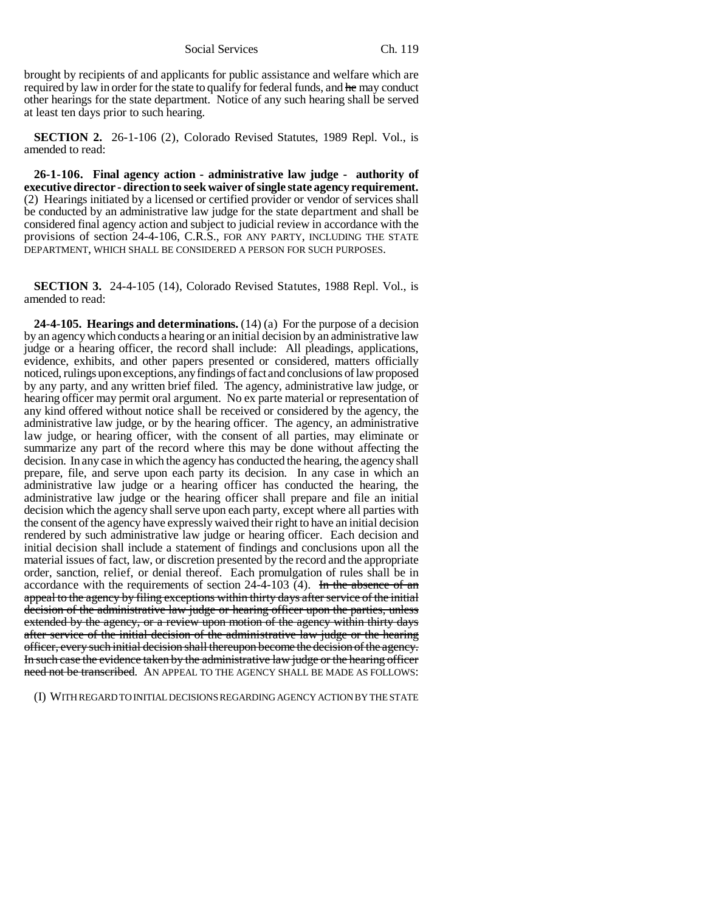Social Services Ch. 119

brought by recipients of and applicants for public assistance and welfare which are required by law in order for the state to qualify for federal funds, and he may conduct other hearings for the state department. Notice of any such hearing shall be served at least ten days prior to such hearing.

**SECTION 2.** 26-1-106 (2), Colorado Revised Statutes, 1989 Repl. Vol., is amended to read:

**26-1-106. Final agency action - administrative law judge - authority of executive director - direction to seek waiver of single state agency requirement.** (2) Hearings initiated by a licensed or certified provider or vendor of services shall be conducted by an administrative law judge for the state department and shall be considered final agency action and subject to judicial review in accordance with the provisions of section 24-4-106, C.R.S., FOR ANY PARTY, INCLUDING THE STATE DEPARTMENT, WHICH SHALL BE CONSIDERED A PERSON FOR SUCH PURPOSES.

**SECTION 3.** 24-4-105 (14), Colorado Revised Statutes, 1988 Repl. Vol., is amended to read:

**24-4-105. Hearings and determinations.** (14) (a) For the purpose of a decision by an agency which conducts a hearing or an initial decision by an administrative law judge or a hearing officer, the record shall include: All pleadings, applications, evidence, exhibits, and other papers presented or considered, matters officially noticed, rulings upon exceptions, any findings of fact and conclusions of law proposed by any party, and any written brief filed. The agency, administrative law judge, or hearing officer may permit oral argument. No ex parte material or representation of any kind offered without notice shall be received or considered by the agency, the administrative law judge, or by the hearing officer. The agency, an administrative law judge, or hearing officer, with the consent of all parties, may eliminate or summarize any part of the record where this may be done without affecting the decision. In any case in which the agency has conducted the hearing, the agency shall prepare, file, and serve upon each party its decision. In any case in which an administrative law judge or a hearing officer has conducted the hearing, the administrative law judge or the hearing officer shall prepare and file an initial decision which the agency shall serve upon each party, except where all parties with the consent of the agency have expressly waived their right to have an initial decision rendered by such administrative law judge or hearing officer. Each decision and initial decision shall include a statement of findings and conclusions upon all the material issues of fact, law, or discretion presented by the record and the appropriate order, sanction, relief, or denial thereof. Each promulgation of rules shall be in accordance with the requirements of section  $24-4-103$  (4). In the absence of an appeal to the agency by filing exceptions within thirty days after service of the initial decision of the administrative law judge or hearing officer upon the parties, unless extended by the agency, or a review upon motion of the agency within thirty days after service of the initial decision of the administrative law judge or the hearing officer, every such initial decision shall thereupon become the decision of the agency. In such case the evidence taken by the administrative law judge or the hearing officer need not be transcribed. AN APPEAL TO THE AGENCY SHALL BE MADE AS FOLLOWS:

(I) WITH REGARD TO INITIAL DECISIONS REGARDING AGENCY ACTION BY THE STATE